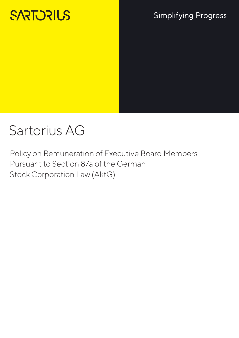# **SARTORIUS**

# **Simplifying Progress**

# Sartorius AG

Policy on Remuneration of Executive Board Members Pursuant to Section 87a of the German Stock Corporation Law (AktG)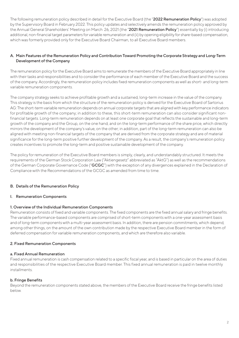The following remuneration policy described in detail for the Executive Board (the "2022 Remuneration Policy") was adopted by the Supervisory Board in February 2022. This policy updates and selectively amends the remuneration policy approved by the Annual General Shareholders' Meeting on March 26, 2021 (the "2021 Remuneration Policy") essentially by (i) introducing additional, non-financial target parameters for variable remuneration and (ii) by opening eligibility for share-based compensation, which was formerly provided only for the Executive Board Chairman, to all Executive Board members.

# A. Main Features of the Remuneration Policy and Contribution Toward Promoting the Corporate Strategy and Long-Term Development of the Company

The remuneration policy for the Executive Board aims to remunerate the members of the Executive Board appropriately in line with their tasks and responsibilities and to consider the performance of each member of the Executive Board and the success of the company. Accordingly, the remuneration policy includes fixed remuneration components as well as short- and long-term variable remuneration components.

The company strategy seeks to achieve profitable growth and a sustained, long-term increase in the value of the company. This strategy is the basis from which the structure of the remuneration policy is derived for the Executive Board of Sartorius AG: The short-term variable remuneration depends on annual corporate targets that are aligned with key performance indicators for profitable growth of the company; in addition to these, this short-term remuneration can also consider significant nonfinancial targets. Long-term remuneration depends on at least one corporate goal that reflects the sustainable and long-term growth of the company and the Group, on the one hand, and on the long-term performance of the share price, which directly mirrors the development of the company's value, on the other; in addition, part of the long-term remuneration can also be aligned with meeting non-financial targets of the company that are derived from the corporate strategy and are of material significance for the long-term positive further development of the company. As a result, the company's remuneration policy creates incentives to promote the long-term and positive sustainable development of the company.

The policy for remuneration of the Executive Board members is simply, clearly, and understandably structured. It meets the requirements of the German Stock Corporation Law ("Aktiengesetz" abbreviated as "AktG") as well as the recommendations of the German Corporate Governance Code ("GCGC") with the exception of any divergences explained in the Declaration of Compliance with the Recommendations of the GCGC as amended from time to time.

# B. Details of the Remuneration Policy

# I. Remuneration Components

# 1. Overview of the Individual Remuneration Components

Remuneration consists of fixed and variable components. The fixed components are the fixed annual salary and fringe benefits. The variable performance-based components are comprised of short-term components with a one-year assessment basis and of long-term components with a multi-year assessment basis. In addition, there are pension commitments, which depend, among other things, on the amount of the own contribution made by the respective Executive Board member in the form of deferred compensation for variable remuneration components, and which are therefore also variable.

# 2. Fixed Remuneration Components

#### a. Fixed Annual Remuneration

Fixed annual remuneration is cash compensation related to a specific fiscal year, and is based in particular on the area of duties and responsibilities of the respective Executive Board member. This fixed annual remuneration is paid in twelve monthly installments.

# b. Fringe Benefits

Beyond the remuneration components stated above, the members of the Executive Board receive the fringe benefits listed below.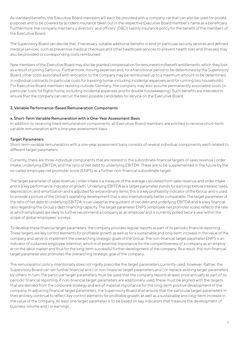As standard benefits, the Executive Board members will each be provided with a company car that can also be used for private purposes and to be covered by accident insurance taken out in the respective Executive Board member's name as a beneficiary. Furthermore, the company maintains a directors' and officers' (D&O) liability insurance policy for the benefit of the members of the Executive Board.

The Supervisory Board can decide that, if necessary, suitable additional benefits in kind (in particular security services and defined medical services, such as preventive medical checkups and other healthcare services to prevent health risks and illnesses) may also be provided or corresponding costs reimbursed.

New members of the Executive Board may also be granted compensation for remuneration/benefit entitlements, which they lose as a result of joining Sartorius. Furthermore, moving expenses and, for a transitional period to be determined by the Supervisory Board, other costs associated with relocation to the company may be reimbursed up to a maximum amount to be determined in individual contracts (in particular costs for traveling home, including incidental expenses, and for running two households). For Executive Board members residing outside Germany, the company may also assume permanently associated costs (in particular costs for flights home, including incidental expenses and for double housekeeping). Such benefits are intended to ensure that the company can recruit the best possible candidates for service on the Executive Board.

# 3. Variable Performance-Based Remuneration Components

#### a. Short-Term Variable Remuneration with a One-Year Assessment Basis

In addition to receiving fixed remuneration components, all Executive Board members are entitled to receive short-term variable remuneration with a one-year assessment basis.

#### Target Parameters

Short-term variable remuneration with a one-year assessment basis consists of several individual components, each related to different target parameters.

Currently, there are three individual components that are related to the subordinate financial targets of sales revenue | order intake, underlying EBITDA, and the ratio of net debt to underlying EBITDA. These are to be supplemented in the future by the so-called employee net promoter score (ENPS) as a further non-financial subordinate target.

The target parameter of sales revenue | order intake is a measure of the average calculated from sales revenue and order intake and is a key performance indicator of growth. Underlying EBITDA as a target parameter stands for earnings before interest, taxes, depreciation, and amortization and is adjusted for extraordinary items; this is a key profitability indicator of the Group and is used to provide a picture of the Group's operating development that is also internationally better comparable. The target parameter of the ratio of net debt to underlying EBITDA is calculated as the quotient of net debt and underlying EBITDA and is a key financial ratio regarding the Group's debt financing capacity. The target parameter ENPS (employee net promoter score) reflects the rate at which employees are likely to further recommend a company as an employer and is currently polled twice a year within the scope of global employees' surveys.

To develop these financial target parameters, the company provides regular reports as part of its periodic financial reporting. These targets are key control elements for profitable growth as well as for a sustainable and long-term increase in the value of the company and serve to implement the overarching strategic goals of the Group. The non-financial target parameter ENPS is an indicator of sustained employee retention, which is of essential importance for the competitiveness of a company as an employer on the labor market and thus for the long-term successful further development of the company. As a result, this non-financial target parameter also promotes the overarching strategic goal of the company.

The remuneration policy intentionally does not rigidly prescribe the target parameters currently used, however. Rather, the Supervisory Board can set further financial and | or non-financial target parameters and | or replace existing target parameters by others. In turn, the particular target parameters must be used that the company reports at least once annually as part of its periodic financial reporting. If non-financial target parameters are additionally used, these must be aligned with the targets that are derived from the corporate strategy and are of material importance for the long-term positive development of the company. In adjusting financial target parameters, the Supervisory Board shall ensure that the particular target parameters in their entirety continue to reflect key control elements for profitable growth as well as a sustainable and long-term increase in the value of the company. At least one target parameter is to be based on key indicators that measure the development of business volume and | or earnings.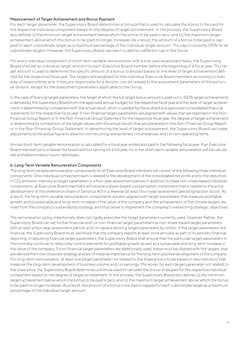### Measurement of Target Achievement and Bonus Payment

For each target parameter, the Supervisory Board determines a formula that is used to calculate the bonus to be paid for the respective individual component based on the degree of target achievement. In the process, the Supervisory Board also defines (i) the minimum target achievement below which the bonus to be paid is zero, and (ii) the maximum target achievement above which the bonus to be paid no longer increases. As a result, the amount of a bonus to be paid is capped for each subordinate target as a maximum percentage of the individual target amount. This cap is currently 120% for all subordinate targets. However, the Supervisory Board can elect to define a different cap in the future.

For every individual component of short-term variable remuneration with a one-year assessment basis, the Supervisory Board shall set an individual target amount for each Executive Board member before the beginning of a fiscal year. This target amount is used to determine the specific amount of a bonus to be paid based on the level of target achievement defined for the respective fiscal year. The targets are weighted for the individual Executive Board members according to their area of responsibility and, if they are responsible for a division, can be related to the assessment parameters of the particular division, except for the assessment parameters applicable to the Group.

In the case of financial target parameters, the target at which the full target bonus amount is paid out (= 100% target achievement) is derived by the Supervisory Board from the approved annual budget for the respective fiscal year and the level of target achievement is determined by comparison with the actual result, which is yielded by the audited and approved consolidated financial statements for the respective fiscal year. If non-financial target parameters are aligned with values that are reported in the Non-Financial Group Report or in the Non-Financial Group Statement for the respective fiscal year, the degree of target achievement is determined by comparison of the target values with the actual results that are presented in the Non-Financial Group Report or in the Non-Financial Group Statement. In determining the level of target achievement, the Supervisory Board can make adjustments to the actual figure to allow for non-recurring, extraordinary circumstances and | or non-operating items.

Annual short-term variable remuneration is calculated for a fiscal year ended and paid in the following fiscal year. If an Executive Board member joins or leaves the board without serving for a full year, his or her short-term variable remuneration will be calculated and determined on a pro-rated basis.

#### b. Long-Term Variable Remuneration Components

The long-term variable remuneration components for all Executive Board members will consist of the following three individual components: One individual component each is related to the development of the consolidated net profit and to the reduction in CO<sub>2</sub> emission intensity as target parameters in a four-year assessment period. In addition to these non-share-based individual components, all Executive Board members will receive a share-based compensation component that is related to the price development of the preference share of Sartorius AG in a likewise (at least) four-year assessment period (phantom stock). As a result, the long-term variable remuneration components are also aligned with target parameters that measure profitable growth and a sustainable and long-term increase in the value of the company and the achievement of the climate targets derived from the company's sustainability strategy, and thus serve to implement the company's overarching strategic objectives.

The remuneration policy intentionally does not rigidly prescribe the target parameters currently used, however. Rather, the Supervisory Board can set further financial and | or non-financial target parameters as non-share-based target parameters with at least a four-year assessment period, and | or replace existing target parameters by others. If the target parameters are financial, the Supervisory Board must use those that the company reports at least once annually as part of its periodic financial reporting. In adjusting financial target parameters, the Supervisory Board shall ensure that the particular target parameters in their entirety continue to reflect key control elements for profitable growth as well as a sustainable and long-term increase in the value of the company. If non-financial target parameters are additionally used, these must be aligned with the targets that are derived from the corporate strategy and are of material importance for the long-term positive development of the company. For long-term remuneration, at least one target parameter not related to the share price is to be based on key indicators that measure the long-term development of business volume and | or earnings. Moreover, for each target parameter not related to the share price, the Supervisory Board determines a formula used to calculate the bonus to be paid for the respective individual component based on the degree of target achievement. In the process, the Supervisory Board also defines (i) the minimum target achievement below which the bonus to be paid is zero, and (ii) the maximum target achievement above which the bonus to be paid no longer increases. As a result, the amount of a bonus to be paid is capped for each subordinate target as a maximum percentage of the individual target amount.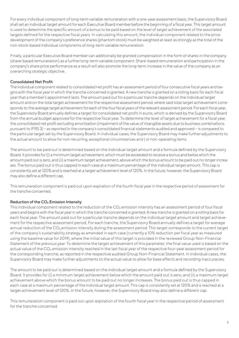For every individual component of long-term variable remuneration with a one-year assessment basis, the Supervisory Board shall set an individual target amount for each Executive Board member before the beginning of a fiscal year. This target amount is used to determine the specific amount of a bonus to be paid based on the level of target achievement of the associated targets defined for the respective fiscal years. In calculating this amount, the individual component related to the price development of the company's preference shares (phantom stock) must be weighted at least as strongly as the total of the non-stock-based individual components of long-term variable remuneration.

Finally, a particular Executive Board member can additionally be granted compensation in the form of shares in the company (share-based remuneration) as a further long-term variable component. Share-based remuneration and participation in the company's share price performance as a result will also promote the long-term increase in the value of the company as an overarching strategic objective.

# Consolidated Net Profit

The individual component related to consolidated net profit has an assessment period of four consecutive fiscal years and begins with the fiscal year in which the tranche concerned is granted. A new tranche is granted on a rolling basis for each fiscal year that a member's appointment lasts. The amount paid out for a particular tranche depends on the individual target amount and on the total target achievement for the respective assessment period, where said total target achievement corresponds to the average target achievement for each of the four fiscal years of the relevant assessment period. For each fiscal year, the Supervisory Board annually defines a target for consolidated net profit in euros, which is derived by the Supervisory Board from the annual budget approved for the respective fiscal year. To determine the level of target achievement for a fiscal year, the consolidated net profit excluding amortization (impairment of the value of intangible assets due to business combinations pursuant to IFRS 3) – as reported in the company's consolidated financial statements audited and approved – is compared to the particular target set by the Supervisory Board. In individual cases, the Supervisory Board may make further adjustments to the actual amount to allow for non-recurring, exceptional circumstances and | or non-operating items.

The amount to be paid out is determined based on the individual target amount and a formula defined by the Supervisory Board. It provides for (i) a minimum target achievement, which must be exceeded to receive a bonus and below which the amount paid out is zero, and (ii) a maximum target achievement, above which the bonus amount to be paid out no longer increases. The bonus paid out is thus capped in each case at a maximum percentage of the individual target amount. This cap is consistently set at 120% and is reached at a target achievement level of 120%. In the future, however, the Supervisory Board may also define a different cap.

This remuneration component is paid out upon expiration of the fourth fiscal year in the respective period of assessment for the tranche concerned.

# Reduction of the CO₂ Emission Intensity

This individual component related to the reduction of the  $CO<sub>2</sub>$  emission intensity has an assessment period of four fiscal years and begins with the fiscal year in which the tranche concerned is granted. A new tranche is granted on a rolling basis for each fiscal year. The amount paid out for a particular tranche depends on the individual target amount and target achievement for the respective assessment period. For each tranche, the Supervisory Board annually defines a target for average annual reduction of the CO<sub>2</sub> emission intensity during the assessment period. This target corresponds to the current target of the company's sustainability strategy as amended in each case (currently a 10% reduction per fiscal year as measured using the baseline value for 2019), where the initial value of this target is provided in the reviewed Group Non-Financial Statement of the previous year. To determine the target achievement of this parameter, the final value used is based on the actual value of the CO<sub>2</sub> emission intensity reached in the last fiscal year of the respective four-year assessment period for the corresponding tranche, as reported in the respective audited Group Non-Financial Statement. In individual cases, the Supervisory Board may make further adjustments to the actual value to allow for base effects and recording inaccuracies.

The amount to be paid out is determined based on the individual target amount and a formula defined by the Supervisory Board. It provides for (i) a minimum target achievement below which the amount paid out is zero, and (ii) a maximum target achievement above which the bonus amount to be paid out no longer increases. The bonus paid out is thus capped in each case at a maximum percentage of the individual target amount. This cap is consistently set at 120% and is reached at a target achievement level of 120%. In the future, however, the Supervisory Board may also define a different cap.

This remuneration component is paid out upon expiration of the fourth fiscal year in the respective period of assessment for the tranche concerned.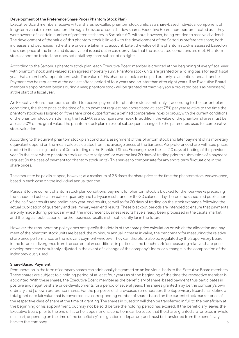### Development of the Preference Share Price (Phantom Stock Plan)

Executive Board members receive virtual shares, so-called phantom stock units, as a share-based individual component of long-term variable remuneration. Through the issue of such shadow shares, Executive Board members are treated as if they were owners of a certain number of preference shares in Sartorius AG, without, however, being entitled to receive dividends. The development of the value of this phantom stock is linked with the development of the Sartorius preference share; both increases and decreases in the share price are taken into account. Later, the value of this phantom stock is assessed based on the share price at the time, and its equivalent is paid out in cash, provided that the associated conditions are met. Phantom stock cannot be traded and does not entail any share subscription rights.

According to the Sartorius phantom stock plan, each Executive Board member is credited at the beginning of every fiscal year with phantom stock units valued at an agreed monetary sum. Phantom stock units are granted on a rolling basis for each fiscal year that a member's appointment lasts. The value of this phantom stock can be paid out only as an entire annual tranche. Payment can be requested at the earliest after a period of four years and no later than after eight years. If an Executive Board member's appointment begins during a year, phantom stock will be granted retroactively (on a pro-rated basis as necessary) at the start of a fiscal year.

An Executive Board member is entitled to receive payment for phantom stock units only if, according to the current plan conditions, the share price at the time of such payment request has appreciated at least 7.5% per year relative to the time the phantom stock was assigned or if the share price outperformed a defined comparative index or group, with the current conditions of the phantom stock plan defining the TecDAX as a comparative index. In addition, the value of the phantom shares must be at least 50% of the grant value. The phantom stock plan rules out subsequent changes to the parameters used for comparative stock valuation.

According to the current phantom stock plan conditions, assignment of this phantom stock and later payment of its monetary equivalent depend on the mean value calculated from the average prices of the Sartorius AG preference share, with said prices quoted in the closing auction of Xetra trading on the Frankfurt Stock Exchange over the last 20 days of trading of the previous year (in the case where phantom stock units are assigned) or over the last 20 days of trading prior to submission of a payment request (in the case of payment for phantom stock units). This serves to compensate for any short-term fluctuations in the share prices.

The amount to be paid is capped, however, at a maximum of 2.5 times the share price at the time the phantom stock was assigned, based in each case on the individual annual tranche.

Pursuant to the current phantom stock plan conditions, payment for phantom stock is blocked for the four weeks preceding the scheduled publication date of quarterly and half-year results and for the 30 calendar days before the scheduled publication of the half-year results and preliminary year-end results, as well as for 20 days of trading on the stock exchange following the actual publication of quarterly and preliminary year-end results. These blackout periods are intended to ensure that payments are only made during periods in which the most recent business results have already been processed in the capital market and the regular publication of further business results is still sufficiently far in the future.

However, the remuneration policy does not specify the details of the share price calculation on which the allocation and payment of the phantom stock units are based, the minimum annual increase in value, the benchmark for measuring the relative share price performance, or the relevant payment windows. They can therefore also be regulated by the Supervisory Board in the future in divergence from the current plan conditions; in particular, the benchmark for measuring relative share price development can be suitably adjusted in the event of a change of the company's index or a change in the composition of the index previously used.

#### Share-Based Payment

6 Remuneration in the form of company shares can additionally be granted on an individual basis to the Executive Board members. These shares are subject to a holding period of at least four years as of the beginning of the time the respective member is appointed. With these shares, the Executive Board member as the beneficiary of share-based payment thus participates in positive and negative share price developments for a period of several years. The shares granted may be the company's own ordinary and | or own preference shares. For the purposes of share-based remuneration, the Supervisory Board shall define a total grant date fair value that is converted in a corresponding number of shares based on the current stock market price of the respective class of share at the time of granting. The shares in question will then be transferred in full to the beneficiary at the beginning of his appointment, but may not be sold before the holding period has expired. If the beneficiary leaves the Executive Board prior to the end of his or her appointment, conditions can be set so that the shares granted are forfeited in whole or in part, depending on the time of the beneficiary's resignation or departure, and must be transferred from the beneficiary back to the company.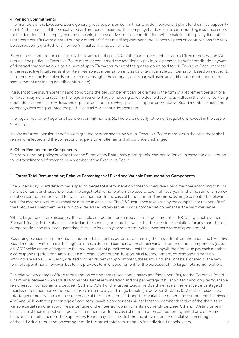### 4. Pension Commitments

The members of the Executive Board generally receive pension commitments as defined-benefit plans for their first reappointment. At the request of the Executive Board member concerned, the company shall take out a corresponding insurance policy for the duration of the employment relationship; the respective pension contributions will be paid into this policy. If no other retirement benefits were granted during a member's first time of appointment, the respective pension contributions can also be subsequently granted for a member's initial term of appointment.

Each benefit contribution consists of a basic amount of up to 14% of the particular member's annual fixed remuneration. On request, the particular Executive Board member concerned can additionally pay in, as a personal benefit contribution by way of deferred compensation, a partial sum of up to 7% maximum out of the gross amount paid to this Executive Board member in the respective fiscal year as short-term variable compensation and as long-term variable compensation based on net profit. If a member of the Executive Board exercises this right, the company on its part will make an additional contribution in the same amount (matching benefit contribution).

Pursuant to the insurance terms and conditions, the pension benefit can be granted in the form of a retirement pension or a lump-sum payment for reaching the regular retirement age or needing to retire due to disability, as well as in the form of surviving dependents' benefits for widows and orphans, according to which particular option an Executive Board member elects. The company does not guarantee the paid-in capital or an annual interest rate.

The regular retirement age for all pension commitments is 65. There are no early retirement regulations, except in the case of disability.

Insofar as further pension benefits were granted or promised to individual Executive Board members in the past, these shall remain unaffected and the corresponding pension entitlements shall continue unchanged.

#### 5. Other Remuneration Components

The remuneration policy provides that the Supervisory Board may grant special compensation at its reasonable discretion for extraordinary performance by a member of the Executive Board.

#### II. Target Total Remuneration; Relative Percentages of Fixed and Variable Remuneration Components

The Supervisory Board determines a specific target total remuneration for each Executive Board member according to his or her area of tasks and responsibilities. The target total remuneration is related to each full fiscal year and is the sum of all remuneration components relevant for total remuneration. In the case of benefits in kind promised as fringe benefits, the relevant value for income tax purposes shall be applied in each case. The D&O insurance taken out by the company for the benefit of the Executive Board members is not considered separately as this is not a compensation benefit in the narrower sense.

Where target values are measured, the variable components are based on the target amount for 100% target achievement. For participation in the phantom stock plan, the annual grant date fair value shall be used for calculation; for any share-based compensation, the pro-rated grant date fair value for each year associated with a member's term of appointment.

Regarding pension commitments, it is assumed that, for the purposes of defining the target total remuneration, the Executive Board members will exercise their right to receive deferred compensation of their variable remuneration components (based on 100% achievement of targets) to the maximum extent permitted and that the company will therefore also pay each member a corresponding additional amount as a matching contribution. If, upon initial reappointment, corresponding pension amounts are also subsequently granted for the first term of appointment, these amounts shall not be allocated to the new term of appointment, however, but to the previous term of appointment for the purposes of the target total remuneration.

7 The relative percentage of fixed remuneration components (fixed annual salary and fringe benefits) for the Executive Board Chairman is between 25% and 40% of his total target remuneration and the percentage of his short-term and long-term variable remuneration components is between 55% and 70%. For the further Executive Board members, the relative percentage of their fixed remuneration components (fixed annual salary and fringe benefits) is between 35% and 55% of their respective total target remuneration and the percentage of their short-term and long-term variable remuneration components is between 40% and 60%, with the percentage of long-term variable components higher for each member than that of the short-term variable target remuneration. The percentage of their pension commitments is currently between 0% and 10% (inclusive in each case) of their respective target total remuneration. In the case of remuneration components granted on a one-time basis or for a limited period, the Supervisory Board may also deviate from the above-mentioned relative percentages of the individual remuneration components in the target total remuneration for individual financial years.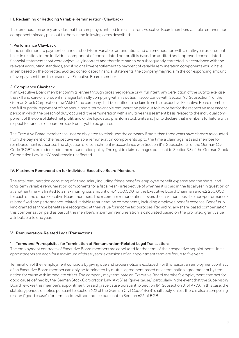# III. Reclaiming or Reducing Variable Remuneration (Clawback)

The remuneration policy provides that the company is entitled to reclaim from Executive Board members variable remuneration components already paid out to them in the following cases described:

# 1. Performance Clawback

If the entitlement to payment of annual short-term variable remuneration and of remuneration with a multi-year assessment basis in relation to the individual component of consolidated net profit is based on audited and approved consolidated financial statements that were objectively incorrect and therefore had to be subsequently corrected in accordance with the relevant accounting standards, and if no or a lower entitlement to payment of variable remuneration components would have arisen based on the corrected audited consolidated financial statements, the company may reclaim the corresponding amount of overpayment from the respective Executive Board member.

# 2. Compliance Clawback

If an Executive Board member commits, either through gross negligence or willful intent, any dereliction of the duty to exercise the skill and care of a prudent manager faithfully complying with his duties in accordance with Section 93, Subsection 1, of the German Stock Corporation Law "AktG," the company shall be entitled to reclaim from the respective Executive Board member the full or partial repayment of the annual short-term variable remuneration paid out to him or her for the respective assessment period in which the breach of duty occurred, the remuneration with a multi-year assessment basis related to the individual component of the consolidated net profit, and of the liquidated phantom stock units and | or to declare that member's forfeiture with respect to tranches of phantom stock units yet to be granted.

The Executive Board member shall not be obligated to reimburse the company if more than three years have elapsed as counted from the payment of the respective variable remuneration components up to the time a claim against said member for reimbursement is asserted. The objection of disenrichment in accordance with Section 818, Subsection 3, of the German Civil Code "BGB" is excluded under the remuneration policy. The right to claim damages pursuant to Section 93 of the German Stock Corporation Law "AktG" shall remain unaffected.

# IV. Maximum Remuneration for Individual Executive Board Members

The total remuneration consisting of a fixed salary including fringe benefits, employee benefit expense and the short- and long-term variable remuneration components for a fiscal year – irrespective of whether it is paid in the fiscal year in question or at another time – is limited to a maximum gross amount of €4,500,000 for the Executive Board Chairman and €2,250,000 for each of the other Executive Board members. The maximum remuneration covers the maximum possible non-performancerelated fixed and performance-related variable remuneration components, including employee benefit expense. Benefits in kind granted as fringe benefits are recognized at their value for income tax purposes. Regarding any share-based compensation, this compensation paid as part of the member's maximum remuneration is calculated based on the pro rated grant value attributable to one year.

# V. Remuneration-Related Legal Transactions

# 1. Terms and Prerequisites for Termination of Remuneration-Related Legal Transactions

The employment contracts of Executive Board members are concluded for the term of their respective appointments. Initial appointments are each for a maximum of three years; extensions of an appointment term are for up to five years.

Termination of their employment contracts by giving due and proper notice is excluded. For this reason, an employment contract of an Executive Board member can only be terminated by mutual agreement based on a termination agreement or by termination for cause with immediate effect. The company may terminate an Executive Board member's employment contract for good cause defined by the German Stock Corporation Law "AktG" as "grave cause," particularly in the event that the Supervisory Board revokes this member's appointment for said grave cause pursuant to Section 84, Subsection 3, of AktG. In this case, the statutory periods of notice pursuant to Section 622 of the German Civil Code "BGB" shall apply, unless there is also a compelling reason ("good cause") for termination without notice pursuant to Section 626 of BGB.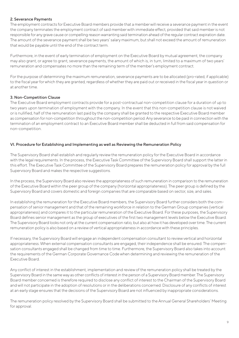# 2. Severance Payments

The employment contracts for Executive Board members provide that a member will receive a severance payment in the event the company terminates the employment contract of said member with immediate effect, provided that said member is not responsible for any grave cause or compelling reason warranting said termination ahead of the regular contract expiration date. The amount of the severance payment shall be two years' salary maximum, but shall not exceed the amount of remuneration that would be payable until the end of the contract term.

Furthermore, in the event of early termination of employment on the Executive Board by mutual agreement, the company may also grant, or agree to grant, severance payments, the amount of which is, in turn, limited to a maximum of two years' remuneration and compensates no more than the remaining term of the member's employment contract.

For the purpose of determining the maximum remuneration, severance payments are to be allocated (pro-rated, if applicable) to the fiscal year for which they are granted, regardless of whether they are paid out or received in the fiscal year in question or at another time.

# 3. Non-Competition Clause

The Executive Board employment contracts provide for a post-contractual non-competition clause for a duration of up to two years upon termination of employment with the company. In the event that this non-competition clause is not waived or is nullified, half of the remuneration last paid by the company shall be granted to the respective Executive Board member as compensation for non-competition throughout the non-competition period. Any severance to be paid in connection with the termination of an employment contract to an Executive Board member shall be deducted in full from said compensation for non-competition.

#### VI. Procedure for Establishing and Implementing as well as Reviewing the Remuneration Policy

The Supervisory Board shall establish and regularly review the remuneration policy for the Executive Board in accordance with the legal requirements. In the process, the Executive Task Committee of the Supervisory Board shall support the latter in this effort. The Executive Task Committee of the Supervisory Board prepares the remuneration policy for approval by the full Supervisory Board and makes the respective suggestions.

In the process, the Supervisory Board also reviews the appropriateness of such remuneration in comparison to the remuneration of the Executive Board within the peer group of the company (horizontal appropriateness). The peer group is defined by the Supervisory Board and covers domestic and foreign companies that are comparable based on sector, size, and sales.

In establishing the remuneration for the Executive Board members, the Supervisory Board further considers both the compensation of senior management and that of the remaining workforce in relation to the German Group companies (vertical appropriateness) and compares it to the particular remuneration of the Executive Board. For these purposes, the Supervisory Board defines senior management as the group of executives of the first two management levels below the Executive Board. The Supervisory Board looks not only at the current compensation ratio, but also at how it has developed over time. The current remuneration policy is also based on a review of vertical appropriateness in accordance with these principles.

If necessary, the Supervisory Board will engage an independent compensation consultant to review vertical and horizontal appropriateness. When external compensation consultants are engaged, their independence shall be ensured. The compensation consultants engaged shall be changed from time to time. Furthermore, the Supervisory Board also takes into account the requirements of the German Corporate Governance Code when determining and reviewing the remuneration of the Executive Board.

Any conflict of interest in the establishment, implementation and review of the remuneration policy shall be treated by the Supervisory Board in the same way as other conflicts of interest in the person of a Supervisory Board member. The Supervisory Board member concerned is therefore required to disclose any conflict of interest to the Chairman of the Supervisory Board and will not participate in the adoption of resolutions or in the deliberations concerned. Disclosure of any conflicts of interest at an early stage ensures that the decisions of the Supervisory Board are not influenced by inappropriate considerations.

The remuneration policy resolved by the Supervisory Board shall be submitted to the Annual General Shareholders' Meeting for approval.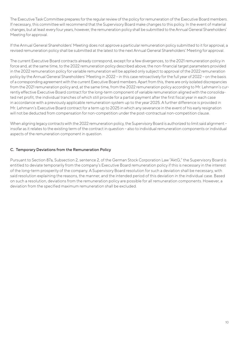The Executive Task Committee prepares for the regular review of the policy for remuneration of the Executive Board members. If necessary, this committee will recommend that the Supervisory Board make changes to this policy. In the event of material changes, but at least every four years, however, the remuneration policy shall be submitted to the Annual General Shareholders' Meeting for approval.

If the Annual General Shareholders' Meeting does not approve a particular remuneration policy submitted to it for approval, a revised remuneration policy shall be submitted at the latest to the next Annual General Shareholders' Meeting for approval.

The current Executive Board contracts already correspond, except for a few divergences, to the 2021 remuneration policy in force and, at the same time, to the 2022 remuneration policy described above; the non-financial target parameters provided in the 2022 remuneration policy for variable remuneration will be applied only subject to approval of the 2022 remuneration policy by the Annual General Shareholders' Meeting in 2022 – in this case retroactively for the full year of 2022 – on the basis of a corresponding agreement with the current Executive Board members. Apart from this, there are only isolated discrepancies from the 2021 remuneration policy and, at the same time, from the 2022 remuneration policy according to Mr. Lehmann's currently effective Executive Board contract for the long-term component of variable remuneration aligned with the consolidated net profit, the individual tranches of which still provide for a partial payment after the first fiscal year in each case in accordance with a previously applicable remuneration system up to the year 2025. A further difference is provided in Mr. Lehmann's Executive Board contract for a term up to 2025 in which any severance in the event of his early resignation will not be deducted from compensation for non-competition under the post-contractual non-competition clause.

When aligning legacy contracts with the 2022 remuneration policy, the Supervisory Board is authorized to limit said alignment insofar as it relates to the existing term of the contract in question – also to individual remuneration components or individual aspects of the remuneration component in question.

# C. Temporary Deviations from the Remuneration Policy

Pursuant to Section 87a, Subsection 2, sentence 2, of the German Stock Corporation Law "AktG," the Supervisory Board is entitled to deviate temporarily from the company's Executive Board remuneration policy if this is necessary in the interest of the long-term prosperity of the company. A Supervisory Board resolution for such a deviation shall be necessary, with said resolution explaining the reasons, the manner, and the intended period of this deviation in the individual case. Based on such a resolution, deviations from the remuneration policy are possible for all remuneration components. However, a deviation from the specified maximum remuneration shall be excluded.